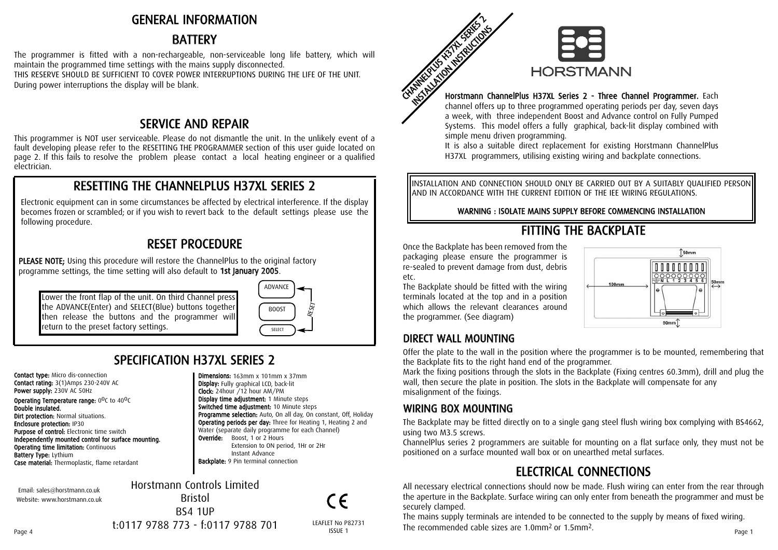## GENERAL INFORMATION

## BATTERY

The programmer is fitted with a non-rechargeable, non-serviceable long life battery, which will maintain the programmed time settings with the mains supply disconnected. THIS RESERVE SHOULD BE SUFFICIENT TO COVER POWER INTERRUPTIONS DURING THE LIFE OF THE UNIT. During power interruptions the display will be blank.

## SER VICE A N D REP AIR

This programmer is NOT user serviceable. Please do not dismantle the unit. In the unlikely event of a fault developing please refer to the RESETTING THE PROGRAMMER section of this user guide located on page 2. If this fails to resolve the problem please contact a local heating engineer or a qualified electrician.

## RESETTING THE CHANNELPLUS H37XL SERIES 2

Electronic equipment can in some circumstances be affected by electrical interference. If the display becomes frozen or scrambled; or if you wish to revert back to the default settings please use the following procedure.

## RESET PROCEDURE

PLEASE NOTE; Using this procedure will restore the ChannelPlus to the original factory programme settings, the time setting will also default to 1st January 2005.

Lower the front flap of the unit. On third Channel press the ADVANCE(Enter) and SELECT(Blue) buttons together then release the buttons and the programmer will return to the preset factory settings.



**Programme selection:** Auto, On all day, On constant, Off, Holiday Operating periods per day: Three for Heating 1, Heating 2 and Water (separate daily programme for each Channel)

Extension to ON period, 1Hr or 2Hr

Dimensions: 163mm x 101mm x 37mm Display: Fully graphical LCD, back-lit Clock: 24hour /12 hour AM/PM Display time adjustment: 1 Minute steps Switched time adjustment: 10 Minute steps

**Override:** Boost, 1 or 2 Hours

Instant Advance Backplate: 9 Pin terminal connection

## S PECIFIC A TIO N H 3 7 XL SERIES 2

Contact type: Micro dis-connection Contact rating: 3(1)Amps 230-240V AC Power supply: 230V AC 50Hz **Operating Temperature range:**  $0^0C$  to  $40^0C$ Double insulated. **Dirt protection: Normal situations.** Enclosure protection: IP30 Purpose of control: Electronic time switch Independently mounted control for surface mounting. **Operating time limitation: Continuous** Battery Type: Lythium Case material: Thermoplastic, flame retardant

Email: sales@horstmann.co.uk Website: www.horstmann.co.uk

Horstmann Controls Limited Bristol BS4 1UP t:0117 9788 773 - f:0117 9788 701

 $\epsilon$ 



### Horstmann ChannelPlus H37XL Series 2 - Three Channel Program mer. Each

channel offers up to three programmed operating periods per day, seven days a week, with three independent Boost and Advance control on Fully Pumped Systems. This model offers a fully graphical, back-lit display combined with simple menu driven programming.

It is also a suitable direct replacement for existing Horstmann ChannelPlus H37XL programmers, utilising existing wiring and backplate connections.

INSTALLATION AND CONNECTION SHOULD ONLY BE CARRIED OUT BY A SUITABLY QUALIFIED PERSON AND IN ACCORDANCE WITH THE CURRENT EDITION OF THE IEE WIRING REGULATIONS.

### WARNING : ISOLATE MAINS SUPPLY BEFORE COMMENCING INSTALLATION

# FITTING THE BACKPLATE

Once the Backplate has been removed from the packaging please ensure the programmer is re-sealed to prevent damage from dust, debris etc.

The Backplate should be fitted with the wiring terminals located at the top and in a position which allows the relevant clearances around the programmer. (See diagram)



## DIRECT WALL MOUNTING

Offer the plate to the wall in the position where the programmer is to be mounted, remembering that the Backplate fits to the right hand end of the programmer.

Mark the fixing positions through the slots in the Backplate (Fixing centres 60.3mm), drill and plug the wall, then secure the plate in position. The slots in the Backplate will compensate for any misalignment of the fixings.

## WIRING BOX MOUNTING

The Backplate may be fitted directly on to a single gang steel flush wiring box complying with BS4662, using two M3.5 screws.

ChannelPlus series 2 programmers are suitable for mounting on a flat surface only, they must not be positioned on a surface mounted wall box or on unearthed metal surfaces.

# ELECTRICAL CONNECTIONS

All necessary electrical connections should now be made. Flush wiring can enter from the rear through the aperture in the Backplate. Surface wiring can only enter from beneath the programmer and must be securely clamped.

The mains supply terminals are intended to be connected to the supply by means of fixed wiring.  $t:0117\,9788\,773$   $\cdot$   $f:0117\,9788\,701$  LEAFLET No P82731 The recommended cable sizes are 1.0mm<sup>2</sup> or 1.5mm<sup>2</sup>.